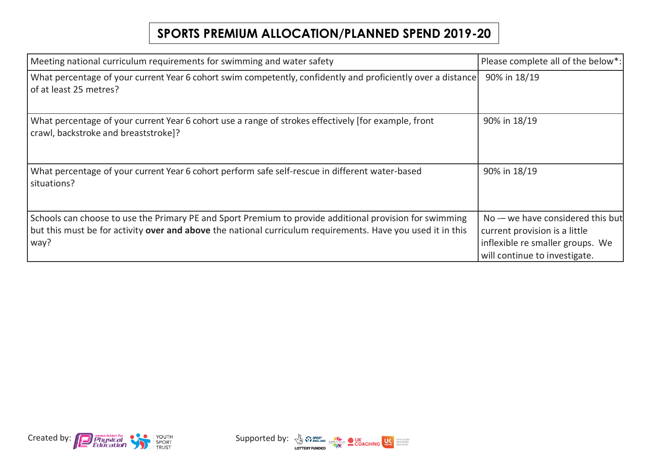## **SPORTS PREMIUM ALLOCATION/PLANNED SPEND 2019-20**

| Meeting national curriculum requirements for swimming and water safety                                                                                                                                                         | Please complete all of the below*:                                                                                                      |
|--------------------------------------------------------------------------------------------------------------------------------------------------------------------------------------------------------------------------------|-----------------------------------------------------------------------------------------------------------------------------------------|
| What percentage of your current Year 6 cohort swim competently, confidently and proficiently over a distance<br>of at least 25 metres?                                                                                         | 90% in 18/19                                                                                                                            |
| What percentage of your current Year 6 cohort use a range of strokes effectively [for example, front<br>crawl, backstroke and breaststroke]?                                                                                   | 90% in 18/19                                                                                                                            |
| What percentage of your current Year 6 cohort perform safe self-rescue in different water-based<br>situations?                                                                                                                 | 90% in 18/19                                                                                                                            |
| Schools can choose to use the Primary PE and Sport Premium to provide additional provision for swimming<br>but this must be for activity over and above the national curriculum requirements. Have you used it in this<br>way? | No -- we have considered this but<br>current provision is a little<br>inflexible re smaller groups. We<br>will continue to investigate. |



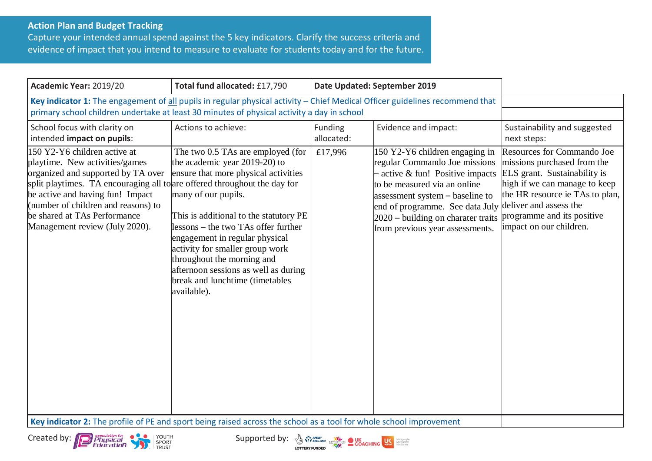## **Action Plan and Budget Tracking**

Capture your intended annual spend against the 5 key indicators. Clarify the success criteria and evidence of impact that you intend to measure to evaluate for students today and for the future.

| Academic Year: 2019/20                                                                                                                                                                                                                                                                                                         | Total fund allocated: £17,790                                                                                                                                                                                                                                                                                                                                                                                     | Date Updated: September 2019 |                                                                                                                                                                                                                                                                                                         |                                                                                                                                                                                                                               |
|--------------------------------------------------------------------------------------------------------------------------------------------------------------------------------------------------------------------------------------------------------------------------------------------------------------------------------|-------------------------------------------------------------------------------------------------------------------------------------------------------------------------------------------------------------------------------------------------------------------------------------------------------------------------------------------------------------------------------------------------------------------|------------------------------|---------------------------------------------------------------------------------------------------------------------------------------------------------------------------------------------------------------------------------------------------------------------------------------------------------|-------------------------------------------------------------------------------------------------------------------------------------------------------------------------------------------------------------------------------|
| Key indicator 1: The engagement of all pupils in regular physical activity - Chief Medical Officer guidelines recommend that<br>primary school children undertake at least 30 minutes of physical activity a day in school                                                                                                     |                                                                                                                                                                                                                                                                                                                                                                                                                   |                              |                                                                                                                                                                                                                                                                                                         |                                                                                                                                                                                                                               |
| School focus with clarity on<br>intended impact on pupils:                                                                                                                                                                                                                                                                     | Actions to achieve:                                                                                                                                                                                                                                                                                                                                                                                               | Funding<br>allocated:        | Evidence and impact:                                                                                                                                                                                                                                                                                    | Sustainability and suggested<br>next steps:                                                                                                                                                                                   |
| 150 Y2-Y6 children active at<br>playtime. New activities/games<br>organized and supported by TA over<br>split playtimes. TA encouraging all to are offered throughout the day for<br>be active and having fun! Impact<br>(number of children and reasons) to<br>be shared at TAs Performance<br>Management review (July 2020). | The two 0.5 TAs are employed (for<br>the academic year $2019-20$ to<br>ensure that more physical activities<br>many of our pupils.<br>This is additional to the statutory PE<br>llessons – the two TAs offer further<br>engagement in regular physical<br>activity for smaller group work<br>throughout the morning and<br>afternoon sessions as well as during<br>break and lunchtime (timetables<br>available). | £17,996                      | 150 Y2-Y6 children engaging in<br>regular Commando Joe missions<br>active & fun! Positive impacts<br>to be measured via an online<br>assessment system – baseline to<br>end of programme. See data July deliver and assess the<br>2020 – building on charater traits<br>from previous year assessments. | <b>Resources for Commando Joe</b><br>missions purchased from the<br>ELS grant. Sustainability is<br>high if we can manage to keep<br>the HR resource ie TAs to plan,<br>programme and its positive<br>impact on our children. |
| Key indicator 2: The profile of PE and sport being raised across the school as a tool for whole school improvement                                                                                                                                                                                                             |                                                                                                                                                                                                                                                                                                                                                                                                                   |                              |                                                                                                                                                                                                                                                                                                         |                                                                                                                                                                                                                               |





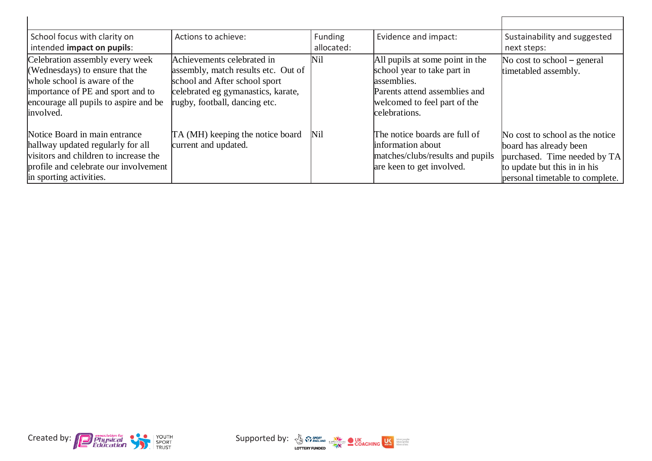| School focus with clarity on<br>intended impact on pupils:                                                                                                                                    | Actions to achieve:                                                                                                                                                       | Funding<br>allocated: | Evidence and impact:                                                                                                                                            | Sustainability and suggested<br>next steps:                                                                                                                  |
|-----------------------------------------------------------------------------------------------------------------------------------------------------------------------------------------------|---------------------------------------------------------------------------------------------------------------------------------------------------------------------------|-----------------------|-----------------------------------------------------------------------------------------------------------------------------------------------------------------|--------------------------------------------------------------------------------------------------------------------------------------------------------------|
| Celebration assembly every week<br>(Wednesdays) to ensure that the<br>whole school is aware of the<br>importance of PE and sport and to<br>encourage all pupils to aspire and be<br>involved. | Achievements celebrated in<br>assembly, match results etc. Out of<br>school and After school sport<br>celebrated eg gymanastics, karate,<br>rugby, football, dancing etc. | Nil                   | All pupils at some point in the<br>school year to take part in<br>assemblies.<br>Parents attend assemblies and<br>welcomed to feel part of the<br>celebrations. | No cost to school $-$ general<br>timetabled assembly.                                                                                                        |
| Notice Board in main entrance<br>hallway updated regularly for all<br>visitors and children to increase the<br>profile and celebrate our involvement<br>in sporting activities.               | TA (MH) keeping the notice board<br>current and updated.                                                                                                                  | Nil                   | The notice boards are full of<br>information about<br>matches/clubs/results and pupils<br>are keen to get involved.                                             | No cost to school as the notice<br>board has already been<br>purchased. Time needed by TA<br>to update but this in in his<br>personal timetable to complete. |



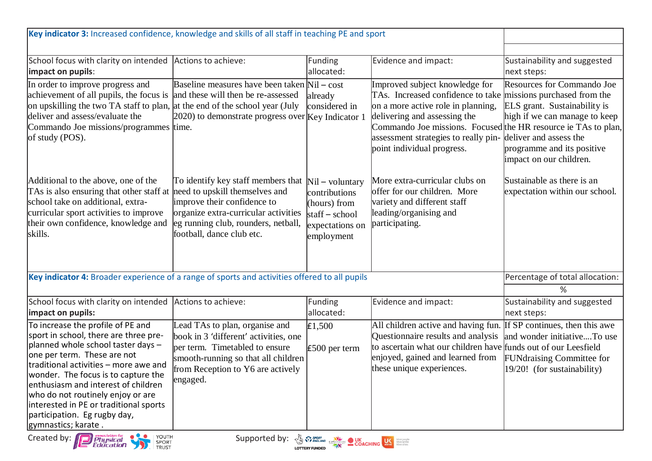| Key indicator 3: Increased confidence, knowledge and skills of all staff in teaching PE and sport                                                                                                                                                                                                                                                                                                             |                                                                                                                                                                                                                 |                                                                                                         |                                                                                                                                                                                                                                                                                                               |                                                                                                                                                                                       |
|---------------------------------------------------------------------------------------------------------------------------------------------------------------------------------------------------------------------------------------------------------------------------------------------------------------------------------------------------------------------------------------------------------------|-----------------------------------------------------------------------------------------------------------------------------------------------------------------------------------------------------------------|---------------------------------------------------------------------------------------------------------|---------------------------------------------------------------------------------------------------------------------------------------------------------------------------------------------------------------------------------------------------------------------------------------------------------------|---------------------------------------------------------------------------------------------------------------------------------------------------------------------------------------|
|                                                                                                                                                                                                                                                                                                                                                                                                               |                                                                                                                                                                                                                 |                                                                                                         |                                                                                                                                                                                                                                                                                                               |                                                                                                                                                                                       |
| School focus with clarity on intended Actions to achieve:<br>impact on pupils:                                                                                                                                                                                                                                                                                                                                |                                                                                                                                                                                                                 | Funding<br>allocated:                                                                                   | Evidence and impact:                                                                                                                                                                                                                                                                                          | Sustainability and suggested<br>next steps:                                                                                                                                           |
| In order to improve progress and<br>achievement of all pupils, the focus is<br>on upskilling the two TA staff to plan, at the end of the school year (July<br>deliver and assess/evaluate the<br>Commando Joe missions/programmes time.<br>of study (POS).                                                                                                                                                    | Baseline measures have been taken Nil – cost<br>and these will then be re-assessed<br>$2020$ ) to demonstrate progress over $Key$ Indicator 1                                                                   | already<br>considered in                                                                                | Improved subject knowledge for<br>TAs. Increased confidence to take missions purchased from the<br>on a more active role in planning,<br>delivering and assessing the<br>Commando Joe missions. Focused the HR resource ie TAs to plan,<br>assessment strategies to really pin-<br>point individual progress. | <b>Resources for Commando Joe</b><br>ELS grant. Sustainability is<br>high if we can manage to keep<br>deliver and assess the<br>programme and its positive<br>impact on our children. |
| Additional to the above, one of the<br>TAs is also ensuring that other staff at<br>school take on additional, extra-<br>curricular sport activities to improve<br>their own confidence, knowledge and<br>skills.                                                                                                                                                                                              | To identify key staff members that<br>need to upskill themselves and<br>improve their confidence to<br>organize extra-curricular activities<br>eg running club, rounders, netball,<br>football, dance club etc. | $Nil$ - voluntary<br>contributions<br>(hours) from<br>$statf - school$<br>expectations on<br>employment | More extra-curricular clubs on<br>offer for our children. More<br>variety and different staff<br>leading/organising and<br>participating.                                                                                                                                                                     | Sustainable as there is an<br>expectation within our school.                                                                                                                          |
| Key indicator 4: Broader experience of a range of sports and activities offered to all pupils                                                                                                                                                                                                                                                                                                                 |                                                                                                                                                                                                                 |                                                                                                         | Percentage of total allocation:                                                                                                                                                                                                                                                                               |                                                                                                                                                                                       |
|                                                                                                                                                                                                                                                                                                                                                                                                               |                                                                                                                                                                                                                 |                                                                                                         |                                                                                                                                                                                                                                                                                                               | ℅                                                                                                                                                                                     |
| School focus with clarity on intended<br>impact on pupils:                                                                                                                                                                                                                                                                                                                                                    | Actions to achieve:                                                                                                                                                                                             | Funding<br>allocated:                                                                                   | Evidence and impact:                                                                                                                                                                                                                                                                                          | Sustainability and suggested<br>next steps:                                                                                                                                           |
| To increase the profile of PE and<br>sport in school, there are three pre-<br>planned whole school taster days -<br>one per term. These are not<br>traditional activities - more awe and<br>wonder. The focus is to capture the<br>lenthusiasm and interest of children<br>who do not routinely enjoy or are<br>interested in PE or traditional sports<br>participation. Eg rugby day,<br>gymnastics; karate. | Lead TAs to plan, organise and<br>book in 3 'different' activities, one<br>per term. Timetabled to ensure<br>smooth-running so that all children<br>from Reception to Y6 are actively<br>engaged.               | £1,500<br>$£500$ per term                                                                               | All children active and having fun.<br>Questionnaire results and analysis<br>to ascertain what our children have funds out of our Leesfield<br>enjoyed, gained and learned from<br>these unique experiences.                                                                                                  | If SP continues, then this awe<br>and wonder initiativeTo use<br>FUNdraising Committee for<br>$19/20!$ (for sustainability)                                                           |
| YOUTH<br>Created by:<br><b>A Sy Sport Construction COACHING LAST DESCRIPTION OF A SHOP COACHING LAST DESCRIPTION OF A SHOP OF A SHOP OF A SHOP OF A SHOP OF A SHOP OF A SHOP OF A SHOP OF A SHOP OF A SHOP OF A SHOP OF A SHOP OF A SHOP OF A SHOP OF A </b><br>Supported by:<br>Physical<br>SPORT<br>Education<br><b>TRUST</b>                                                                               |                                                                                                                                                                                                                 |                                                                                                         |                                                                                                                                                                                                                                                                                                               |                                                                                                                                                                                       |